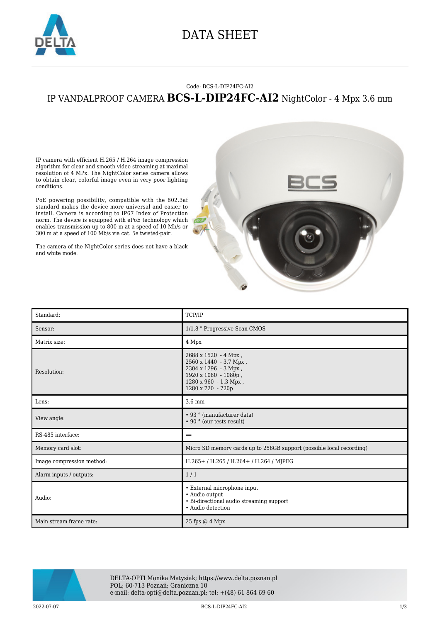

## DATA SHEET

## Code: BCS-L-DIP24FC-AI2 IP VANDALPROOF CAMERA **BCS-L-DIP24FC-AI2** NightColor - 4 Mpx 3.6 mm

IP camera with efficient H.265 / H.264 image compression algorithm for clear and smooth video streaming at maximal resolution of 4 MPx. The NightColor series camera allows to obtain clear, colorful image even in very poor lighting conditions.

PoE powering possibility, compatible with the 802.3af standard makes the device more universal and easier to install. Camera is according to IP67 Index of Protection norm. The device is equipped with ePoE technology which enables transmission up to 800 m at a speed of 10 Mb/s or 300 m at a speed of 100 Mb/s via cat. 5e twisted-pair.

The camera of the NightColor series does not have a black and white mode.





DELTA-OPTI Monika Matysiak; https://www.delta.poznan.pl POL; 60-713 Poznań; Graniczna 10 e-mail: delta-opti@delta.poznan.pl; tel: +(48) 61 864 69 60

2022-07-07 BCS-L-DIP24FC-AI2 1/3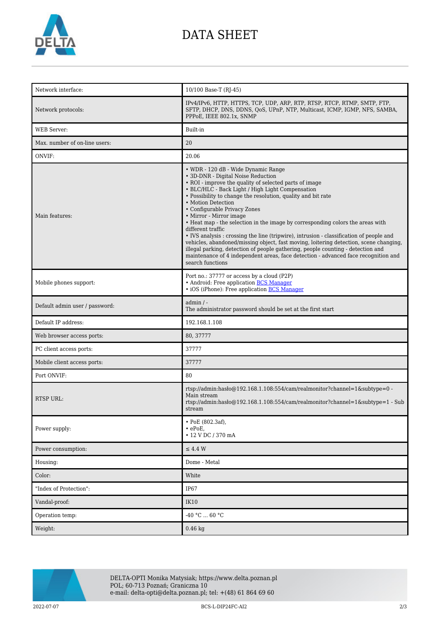

## DATA SHEET

| Network interface:             | 10/100 Base-T (RJ-45)                                                                                                                                                                                                                                                                                                                                                                                                                                                                                                                                                                                                                                                                                                                                                                                                            |
|--------------------------------|----------------------------------------------------------------------------------------------------------------------------------------------------------------------------------------------------------------------------------------------------------------------------------------------------------------------------------------------------------------------------------------------------------------------------------------------------------------------------------------------------------------------------------------------------------------------------------------------------------------------------------------------------------------------------------------------------------------------------------------------------------------------------------------------------------------------------------|
| Network protocols:             | IPv4/IPv6, HTTP, HTTPS, TCP, UDP, ARP, RTP, RTSP, RTCP, RTMP, SMTP, FTP,<br>SFTP, DHCP, DNS, DDNS, OoS, UPnP, NTP, Multicast, ICMP, IGMP, NFS, SAMBA,<br>PPPoE, IEEE 802.1x, SNMP                                                                                                                                                                                                                                                                                                                                                                                                                                                                                                                                                                                                                                                |
| <b>WEB Server:</b>             | Built-in                                                                                                                                                                                                                                                                                                                                                                                                                                                                                                                                                                                                                                                                                                                                                                                                                         |
| Max. number of on-line users:  | 20                                                                                                                                                                                                                                                                                                                                                                                                                                                                                                                                                                                                                                                                                                                                                                                                                               |
| ONVIF:                         | 20.06                                                                                                                                                                                                                                                                                                                                                                                                                                                                                                                                                                                                                                                                                                                                                                                                                            |
| Main features:                 | • WDR - 120 dB - Wide Dynamic Range<br>• 3D-DNR - Digital Noise Reduction<br>• ROI - improve the quality of selected parts of image<br>• BLC/HLC - Back Light / High Light Compensation<br>• Possibility to change the resolution, quality and bit rate<br>• Motion Detection<br>• Configurable Privacy Zones<br>• Mirror - Mirror image<br>• Heat map - the selection in the image by corresponding colors the areas with<br>different traffic<br>• IVS analysis : crossing the line (tripwire), intrusion - classification of people and<br>vehicles, abandoned/missing object, fast moving, loitering detection, scene changing,<br>illegal parking, detection of people gathering, people counting - detection and<br>maintenance of 4 independent areas, face detection - advanced face recognition and<br>search functions |
| Mobile phones support:         | Port no.: 37777 or access by a cloud (P2P)<br>• Android: Free application <b>BCS Manager</b><br>• iOS (iPhone): Free application <b>BCS Manager</b>                                                                                                                                                                                                                                                                                                                                                                                                                                                                                                                                                                                                                                                                              |
| Default admin user / password: | $admin / -$<br>The administrator password should be set at the first start                                                                                                                                                                                                                                                                                                                                                                                                                                                                                                                                                                                                                                                                                                                                                       |
| Default IP address:            | 192.168.1.108                                                                                                                                                                                                                                                                                                                                                                                                                                                                                                                                                                                                                                                                                                                                                                                                                    |
| Web browser access ports:      | 80, 37777                                                                                                                                                                                                                                                                                                                                                                                                                                                                                                                                                                                                                                                                                                                                                                                                                        |
| PC client access ports:        | 37777                                                                                                                                                                                                                                                                                                                                                                                                                                                                                                                                                                                                                                                                                                                                                                                                                            |
| Mobile client access ports:    | 37777                                                                                                                                                                                                                                                                                                                                                                                                                                                                                                                                                                                                                                                                                                                                                                                                                            |
| Port ONVIF:                    | 80                                                                                                                                                                                                                                                                                                                                                                                                                                                                                                                                                                                                                                                                                                                                                                                                                               |
| <b>RTSP URL:</b>               | rtsp://admin:hasło@192.168.1.108:554/cam/realmonitor?channel=1&subtype=0 -<br>Main stream<br>rtsp://admin:haslo@192.168.1.108:554/cam/realmonitor?channel=1&subtype=1 - Sub<br>stream                                                                                                                                                                                                                                                                                                                                                                                                                                                                                                                                                                                                                                            |
| Power supply:                  | • PoE (802.3af),<br>$\cdot$ ePoE,<br>• 12 V DC / 370 mA                                                                                                                                                                                                                                                                                                                                                                                                                                                                                                                                                                                                                                                                                                                                                                          |
| Power consumption:             | $\leq$ 4.4 W                                                                                                                                                                                                                                                                                                                                                                                                                                                                                                                                                                                                                                                                                                                                                                                                                     |
| Housing:                       | Dome - Metal                                                                                                                                                                                                                                                                                                                                                                                                                                                                                                                                                                                                                                                                                                                                                                                                                     |
| Color:                         | White                                                                                                                                                                                                                                                                                                                                                                                                                                                                                                                                                                                                                                                                                                                                                                                                                            |
| "Index of Protection":         | IP67                                                                                                                                                                                                                                                                                                                                                                                                                                                                                                                                                                                                                                                                                                                                                                                                                             |
| Vandal-proof:                  | IK10                                                                                                                                                                                                                                                                                                                                                                                                                                                                                                                                                                                                                                                                                                                                                                                                                             |
| Operation temp:                | $-40 °C  60 °C$                                                                                                                                                                                                                                                                                                                                                                                                                                                                                                                                                                                                                                                                                                                                                                                                                  |
| Weight:                        | $0.46$ kg                                                                                                                                                                                                                                                                                                                                                                                                                                                                                                                                                                                                                                                                                                                                                                                                                        |